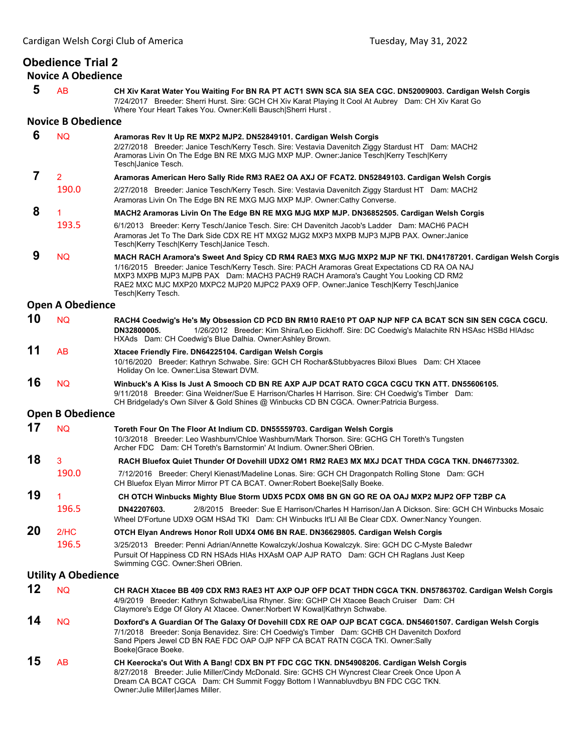## **Obedience Trial 2**

**Novice A Obedience**

 **5** AB **CH Xiv Karat Water You Waiting For BN RA PT ACT1 SWN SCA SIA SEA CGC. DN52009003. Cardigan Welsh Corgis** 7/24/2017 Breeder: Sherri Hurst. Sire: GCH CH Xiv Karat Playing It Cool At Aubrey Dam: CH Xiv Karat Go Where Your Heart Takes You. Owner:Kelli Bausch|Sherri Hurst .

## **Novice B Obedience**

| 6              | <b>NQ</b>                  | Aramoras Rev It Up RE MXP2 MJP2. DN52849101. Cardigan Welsh Corgis                                                                                                                                                                                                                                                                                                                                                |
|----------------|----------------------------|-------------------------------------------------------------------------------------------------------------------------------------------------------------------------------------------------------------------------------------------------------------------------------------------------------------------------------------------------------------------------------------------------------------------|
|                |                            | 2/27/2018 Breeder: Janice Tesch/Kerry Tesch. Sire: Vestavia Davenitch Ziggy Stardust HT Dam: MACH2<br>Aramoras Livin On The Edge BN RE MXG MJG MXP MJP. Owner: Janice Tesch Kerry Tesch Kerry<br>Tesch Janice Tesch.                                                                                                                                                                                              |
| $\overline{7}$ | $\overline{2}$             | Aramoras American Hero Sally Ride RM3 RAE2 OA AXJ OF FCAT2. DN52849103. Cardigan Welsh Corgis                                                                                                                                                                                                                                                                                                                     |
|                | 190.0                      | 2/27/2018 Breeder: Janice Tesch/Kerry Tesch. Sire: Vestavia Davenitch Ziggy Stardust HT Dam: MACH2<br>Aramoras Livin On The Edge BN RE MXG MJG MXP MJP. Owner:Cathy Converse.                                                                                                                                                                                                                                     |
| 8              |                            | MACH2 Aramoras Livin On The Edge BN RE MXG MJG MXP MJP. DN36852505. Cardigan Welsh Corgis                                                                                                                                                                                                                                                                                                                         |
|                | 193.5                      | 6/1/2013 Breeder: Kerry Tesch/Janice Tesch. Sire: CH Davenitch Jacob's Ladder Dam: MACH6 PACH<br>Aramoras Jet To The Dark Side CDX RE HT MXG2 MJG2 MXP3 MXPB MJP3 MJPB PAX. Owner:Janice<br>Tesch Kerry Tesch Kerry Tesch Janice Tesch.                                                                                                                                                                           |
| 9              | <b>NQ</b>                  | MACH RACH Aramora's Sweet And Spicy CD RM4 RAE3 MXG MJG MXP2 MJP NF TKI. DN41787201. Cardigan Welsh Corgis<br>1/16/2015 Breeder: Janice Tesch/Kerry Tesch. Sire: PACH Aramoras Great Expectations CD RA OA NAJ<br>MXP3 MXPB MJP3 MJPB PAX Dam: MACH3 PACH9 RACH Aramora's Caught You Looking CD RM2<br>RAE2 MXC MJC MXP20 MXPC2 MJP20 MJPC2 PAX9 OFP. Owner:Janice Tesch Kerry Tesch Janice<br>Tesch Kerry Tesch. |
|                | <b>Open A Obedience</b>    |                                                                                                                                                                                                                                                                                                                                                                                                                   |
| 10             | <b>NQ</b>                  | RACH4 Coedwig's He's My Obsession CD PCD BN RM10 RAE10 PT OAP NJP NFP CA BCAT SCN SIN SEN CGCA CGCU.<br>DN32800005.<br>1/26/2012 Breeder: Kim Shira/Leo Eickhoff. Sire: DC Coedwig's Malachite RN HSAsc HSBd HIAdsc<br>HXAds Dam: CH Coedwig's Blue Dalhia. Owner: Ashley Brown.                                                                                                                                  |
| 11             | AB                         | Xtacee Friendly Fire. DN64225104. Cardigan Welsh Corgis<br>10/16/2020 Breeder: Kathryn Schwabe. Sire: GCH CH Rochar&Stubbyacres Biloxi Blues Dam: CH Xtacee<br>Holiday On Ice. Owner: Lisa Stewart DVM.                                                                                                                                                                                                           |
| 16             | <b>NQ</b>                  | Winbuck's A Kiss Is Just A Smooch CD BN RE AXP AJP DCAT RATO CGCA CGCU TKN ATT. DN55606105.<br>9/11/2018 Breeder: Gina Weidner/Sue E Harrison/Charles H Harrison. Sire: CH Coedwig's Timber Dam:<br>CH Bridgelady's Own Silver & Gold Shines @ Winbucks CD BN CGCA. Owner:Patricia Burgess.                                                                                                                       |
|                | <b>Open B Obedience</b>    |                                                                                                                                                                                                                                                                                                                                                                                                                   |
| 17             | <b>NQ</b>                  | Toreth Four On The Floor At Indium CD. DN55559703. Cardigan Welsh Corgis<br>10/3/2018 Breeder: Leo Washburn/Chloe Washburn/Mark Thorson. Sire: GCHG CH Toreth's Tungsten<br>Archer FDC Dam: CH Toreth's Barnstormin' At Indium. Owner: Sheri OBrien.                                                                                                                                                              |
| 18             | 3                          | RACH Bluefox Quiet Thunder Of Dovehill UDX2 OM1 RM2 RAE3 MX MXJ DCAT THDA CGCA TKN. DN46773302.                                                                                                                                                                                                                                                                                                                   |
|                | 190.0                      | 7/12/2016 Breeder: Cheryl Kienast/Madeline Lonas. Sire: GCH CH Dragonpatch Rolling Stone Dam: GCH<br>CH Bluefox Elyan Mirror Mirror PT CA BCAT. Owner: Robert Boeke Sally Boeke.                                                                                                                                                                                                                                  |
| 19             | 1.                         | CH OTCH Winbucks Mighty Blue Storm UDX5 PCDX OM8 BN GN GO RE OA OAJ MXP2 MJP2 OFP T2BP CA                                                                                                                                                                                                                                                                                                                         |
|                | 196.5                      | 2/8/2015 Breeder: Sue E Harrison/Charles H Harrison/Jan A Dickson. Sire: GCH CH Winbucks Mosaic<br>DN42207603.<br>Wheel D'Fortune UDX9 OGM HSAd TKI Dam: CH Winbucks It'Ll All Be Clear CDX. Owner:Nancy Youngen.                                                                                                                                                                                                 |
| 20             | 2/HC                       | OTCH Elyan Andrews Honor Roll UDX4 OM6 BN RAE. DN36629805. Cardigan Welsh Corgis                                                                                                                                                                                                                                                                                                                                  |
|                | 196.5                      | 3/25/2013 Breeder: Penni Adrian/Annette Kowalczyk/Joshua Kowalczyk. Sire: GCH DC C-Myste Baledwr<br>Pursuit Of Happiness CD RN HSAds HIAs HXAsM OAP AJP RATO Dam: GCH CH Raglans Just Keep<br>Swimming CGC. Owner: Sheri OBrien.                                                                                                                                                                                  |
|                | <b>Utility A Obedience</b> |                                                                                                                                                                                                                                                                                                                                                                                                                   |
| 12             | <b>NQ</b>                  | CH RACH Xtacee BB 409 CDX RM3 RAE3 HT AXP OJP OFP DCAT THDN CGCA TKN. DN57863702. Cardigan Welsh Corgis<br>4/9/2019 Breeder: Kathryn Schwabe/Lisa Rhyner. Sire: GCHP CH Xtacee Beach Cruiser Dam: CH<br>Claymore's Edge Of Glory At Xtacee. Owner: Norbert W Kowal Kathryn Schwabe.                                                                                                                               |
| 14             | <b>NQ</b>                  | Doxford's A Guardian Of The Galaxy Of Dovehill CDX RE OAP OJP BCAT CGCA. DN54601507. Cardigan Welsh Corgis<br>7/1/2018 Breeder: Sonja Benavidez. Sire: CH Coedwig's Timber Dam: GCHB CH Davenitch Doxford<br>Sand Pipers Jewel CD BN RAE FDC OAP OJP NFP CA BCAT RATN CGCA TKI. Owner:Sally<br>Boeke Grace Boeke.                                                                                                 |
| 15             | AB                         | CH Keerocka's Out With A Bang! CDX BN PT FDC CGC TKN. DN54908206. Cardigan Welsh Corgis<br>8/27/2018 Breeder: Julie Miller/Cindy McDonald. Sire: GCHS CH Wyncrest Clear Creek Once Upon A<br>Dream CA BCAT CGCA Dam: CH Summit Foggy Bottom I Wannabluvdbyu BN FDC CGC TKN.<br>Owner: Julie Miller James Miller.                                                                                                  |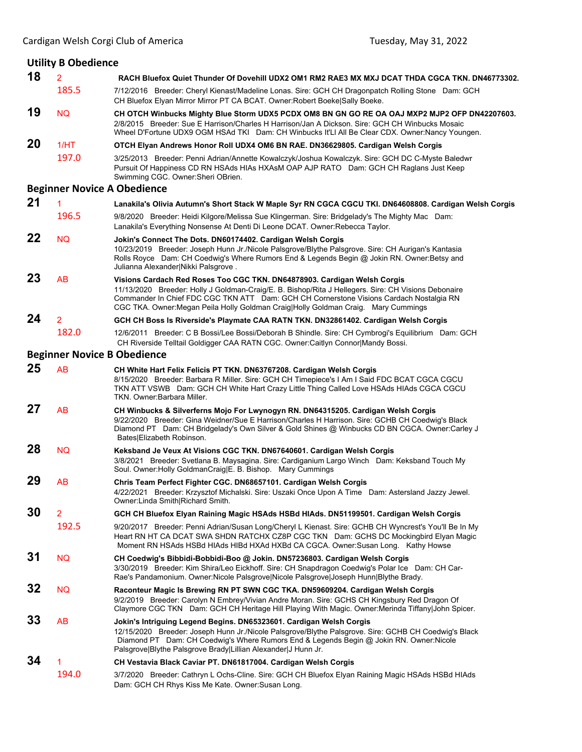| <b>Utility B Obedience</b> |                |                                                                                                                                                                                                                                                                                                                                                                  |  |  |
|----------------------------|----------------|------------------------------------------------------------------------------------------------------------------------------------------------------------------------------------------------------------------------------------------------------------------------------------------------------------------------------------------------------------------|--|--|
| 18                         | $\overline{2}$ | RACH Bluefox Quiet Thunder Of Dovehill UDX2 OM1 RM2 RAE3 MX MXJ DCAT THDA CGCA TKN. DN46773302.                                                                                                                                                                                                                                                                  |  |  |
|                            | 185.5          | 7/12/2016 Breeder: Cheryl Kienast/Madeline Lonas. Sire: GCH CH Dragonpatch Rolling Stone Dam: GCH<br>CH Bluefox Elyan Mirror Mirror PT CA BCAT. Owner: Robert Boeke Sally Boeke.                                                                                                                                                                                 |  |  |
| 19                         | <b>NQ</b>      | CH OTCH Winbucks Mighty Blue Storm UDX5 PCDX OM8 BN GN GO RE OA OAJ MXP2 MJP2 OFP DN42207603.<br>2/8/2015 Breeder: Sue E Harrison/Charles H Harrison/Jan A Dickson. Sire: GCH CH Winbucks Mosaic<br>Wheel D'Fortune UDX9 OGM HSAd TKI Dam: CH Winbucks It'LI All Be Clear CDX. Owner:Nancy Youngen.                                                              |  |  |
| 20                         | 1/HT           | OTCH Elyan Andrews Honor Roll UDX4 OM6 BN RAE. DN36629805. Cardigan Welsh Corgis                                                                                                                                                                                                                                                                                 |  |  |
|                            | 197.0          | 3/25/2013 Breeder: Penni Adrian/Annette Kowalczyk/Joshua Kowalczyk. Sire: GCH DC C-Myste Baledwr<br>Pursuit Of Happiness CD RN HSAds HIAs HXAsM OAP AJP RATO Dam: GCH CH Raglans Just Keep<br>Swimming CGC. Owner: Sheri OBrien.                                                                                                                                 |  |  |
|                            |                | <b>Beginner Novice A Obedience</b>                                                                                                                                                                                                                                                                                                                               |  |  |
| 21                         | 1              | Lanakila's Olivia Autumn's Short Stack W Maple Syr RN CGCA CGCU TKI. DN64608808. Cardigan Welsh Corgis                                                                                                                                                                                                                                                           |  |  |
|                            | 196.5          | 9/8/2020 Breeder: Heidi Kilgore/Melissa Sue Klingerman. Sire: Bridgelady's The Mighty Mac Dam:<br>Lanakila's Everything Nonsense At Denti Di Leone DCAT. Owner: Rebecca Taylor.                                                                                                                                                                                  |  |  |
| 22                         | <b>NQ</b>      | Jokin's Connect The Dots. DN60174402. Cardigan Welsh Corgis<br>10/23/2019 Breeder: Joseph Hunn Jr./Nicole Palsgrove/Blythe Palsgrove. Sire: CH Aurigan's Kantasia<br>Rolls Royce Dam: CH Coedwig's Where Rumors End & Legends Begin @ Jokin RN. Owner: Betsy and<br>Julianna Alexander Nikki Palsgrove.                                                          |  |  |
| 23                         | AB             | Visions Cardach Red Roses Too CGC TKN. DN64878903. Cardigan Welsh Corgis<br>11/13/2020 Breeder: Holly J Goldman-Craig/E. B. Bishop/Rita J Hellegers. Sire: CH Visions Debonaire<br>Commander In Chief FDC CGC TKN ATT Dam: GCH CH Cornerstone Visions Cardach Nostalgia RN<br>CGC TKA. Owner: Megan Peila Holly Goldman Craig Holly Goldman Craig. Mary Cummings |  |  |
| 24                         | $\overline{2}$ | GCH CH Boss Is Riverside's Playmate CAA RATN TKN. DN32861402. Cardigan Welsh Corgis                                                                                                                                                                                                                                                                              |  |  |
|                            | 182.0          | 12/6/2011 Breeder: C B Bossi/Lee Bossi/Deborah B Shindle. Sire: CH Cymbrogi's Equilibrium Dam: GCH<br>CH Riverside Telltail Goldigger CAA RATN CGC. Owner:Caitlyn Connor Mandy Bossi.                                                                                                                                                                            |  |  |
|                            |                | <b>Beginner Novice B Obedience</b>                                                                                                                                                                                                                                                                                                                               |  |  |
| 25                         | <b>AB</b>      | CH White Hart Felix Felicis PT TKN. DN63767208. Cardigan Welsh Corgis<br>8/15/2020 Breeder: Barbara R Miller. Sire: GCH CH Timepiece's I Am I Said FDC BCAT CGCA CGCU<br>TKN ATT VSWB Dam: GCH CH White Hart Crazy Little Thing Called Love HSAds HIAds CGCA CGCU<br>TKN. Owner:Barbara Miller.                                                                  |  |  |
| 27                         | AB             | CH Winbucks & Silverferns Mojo For Lwynogyn RN. DN64315205. Cardigan Welsh Corgis<br>9/22/2020 Breeder: Gina Weidner/Sue E Harrison/Charles H Harrison. Sire: GCHB CH Coedwig's Black<br>Diamond PT Dam: CH Bridgelady's Own Silver & Gold Shines @ Winbucks CD BN CGCA. Owner:Carley J<br>Bates Elizabeth Robinson.                                             |  |  |
| 28                         | <b>NQ</b>      | Keksband Je Veux At Visions CGC TKN. DN67640601. Cardigan Welsh Corgis<br>3/8/2021 Breeder: Svetlana B. Maysagina. Sire: Cardiganium Largo Winch Dam: Keksband Touch My<br>Soul. Owner: Holly GoldmanCraig E. B. Bishop. Mary Cummings                                                                                                                           |  |  |
| 29                         | AB             | Chris Team Perfect Fighter CGC. DN68657101. Cardigan Welsh Corgis<br>4/22/2021 Breeder: Krzysztof Michalski. Sire: Uszaki Once Upon A Time Dam: Astersland Jazzy Jewel.<br>Owner: Linda Smith Richard Smith.                                                                                                                                                     |  |  |
| 30                         | $\overline{2}$ | GCH CH Bluefox Elyan Raining Magic HSAds HSBd HIAds. DN51199501. Cardigan Welsh Corgis                                                                                                                                                                                                                                                                           |  |  |
|                            | 192.5          | 9/20/2017 Breeder: Penni Adrian/Susan Long/Cheryl L Kienast. Sire: GCHB CH Wyncrest's You'll Be In My<br>Heart RN HT CA DCAT SWA SHDN RATCHX CZ8P CGC TKN Dam: GCHS DC Mockingbird Elyan Magic<br>Moment RN HSAds HSBd HIAds HIBd HXAd HXBd CA CGCA. Owner:Susan Long. Kathy Howse                                                                               |  |  |
| 31                         | <b>NQ</b>      | CH Coedwig's Bibbidi-Bobbidi-Boo @ Jokin. DN57236803. Cardigan Welsh Corgis<br>3/30/2019 Breeder: Kim Shira/Leo Eickhoff. Sire: CH Snapdragon Coedwig's Polar Ice Dam: CH Car-<br>Rae's Pandamonium. Owner:Nicole Palsgrove Nicole Palsgrove Joseph Hunn Blythe Brady.                                                                                           |  |  |
| 32                         | <b>NQ</b>      | Raconteur Magic Is Brewing RN PT SWN CGC TKA. DN59609204. Cardigan Welsh Corgis<br>9/2/2019 Breeder: Carolyn N Embrey/Vivian Andre Moran. Sire: GCHS CH Kingsbury Red Dragon Of<br>Claymore CGC TKN Dam: GCH CH Heritage Hill Playing With Magic. Owner: Merinda Tiffany John Spicer.                                                                            |  |  |
| 33                         | AB             | Jokin's Intriguing Legend Begins. DN65323601. Cardigan Welsh Corgis<br>12/15/2020 Breeder: Joseph Hunn Jr./Nicole Palsgrove/Blythe Palsgrove. Sire: GCHB CH Coedwig's Black<br>Diamond PT Dam: CH Coedwig's Where Rumors End & Legends Begin @ Jokin RN. Owner: Nicole<br>Palsgrove Blythe Palsgrove Brady Lillian Alexander J Hunn Jr.                          |  |  |
| 34                         | 1              | CH Vestavia Black Caviar PT. DN61817004. Cardigan Welsh Corgis                                                                                                                                                                                                                                                                                                   |  |  |
|                            | 194.0          | 3/7/2020 Breeder: Cathryn L Ochs-Cline. Sire: GCH CH Bluefox Elyan Raining Magic HSAds HSBd HIAds<br>Dam: GCH CH Rhys Kiss Me Kate. Owner: Susan Long.                                                                                                                                                                                                           |  |  |